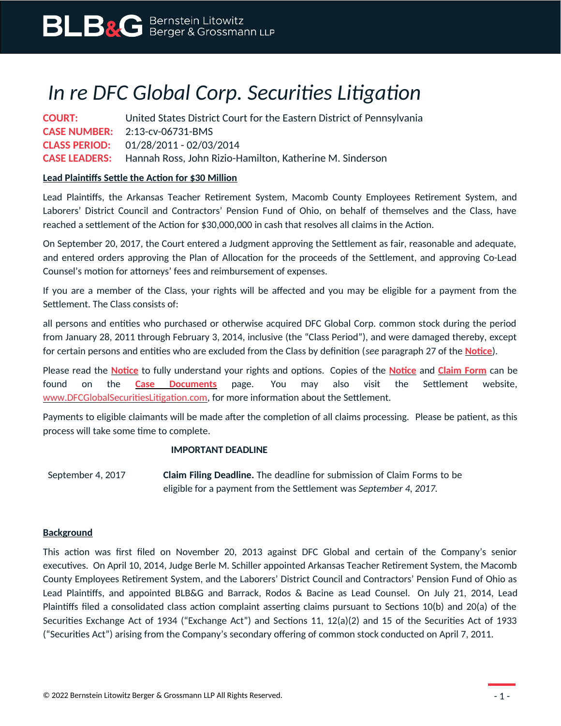# *In re DFC Global Corp. Securities Litigation*

**COURT:** United States District Court for the Eastern District of Pennsylvania **CASE NUMBER:** 2:13-cv-06731-BMS **CLASS PERIOD:** 01/28/2011 - 02/03/2014 **CASE LEADERS:** Hannah Ross, John Rizio-Hamilton, Katherine M. Sinderson

### **Lead Plaintiffs Settle the Action for \$30 Million**

Lead Plaintiffs, the Arkansas Teacher Retirement System, Macomb County Employees Retirement System, and Laborers' District Council and Contractors' Pension Fund of Ohio, on behalf of themselves and the Class, have reached a settlement of the Action for \$30,000,000 in cash that resolves all claims in the Action.

On September 20, 2017, the Court entered a Judgment approving the Settlement as fair, reasonable and adequate, and entered orders approving the Plan of Allocation for the proceeds of the Settlement, and approving Co-Lead Counsel's motion for attorneys' fees and reimbursement of expenses.

If you are a member of the Class, your rights will be affected and you may be eligible for a payment from the Settlement. The Class consists of:

all persons and entities who purchased or otherwise acquired DFC Global Corp. common stock during the period from January 28, 2011 through February 3, 2014, inclusive (the "Class Period"), and were damaged thereby, except for certain persons and entities who are excluded from the Class by definition (*see* paragraph 27 of the **[Notice](https://www.blbglaw.com/cases/dfc-global-corporation/_res/id=Attachments/index=0/DFC%20Global_Notice.pdf)**).

Please read the **[Notice](https://www.blbglaw.com/cases/dfc-global-corporation/_res/id=Attachments/index=0/DFC%20Global_Notice.pdf)** to fully understand your rights and options. Copies of the **[Notice](https://www.blbglaw.com/cases/dfc-global-corporation/_res/id=Attachments/index=0/DFC%20Global_Notice.pdf)** and **[Claim Form](https://www.blbglaw.com/cases/dfc-global-corporation/_res/id=Attachments/index=1/DFC%20Global_Claim%20Form.pdf)** can be found on the **[Case Documents](https://www.blbglaw.com/cases/dfc-global-corporation?viewDocs=1)** page. You may also visit the Settlement website, [www.DFCGlobalSecuritiesLitigation.com](http://www.DFCGlobalSecuritiesLitigation.com/), for more information about the Settlement.

Payments to eligible claimants will be made after the completion of all claims processing. Please be patient, as this process will take some time to complete.

#### **IMPORTANT DEADLINE**

September 4, 2017 **Claim Filing Deadline.** The deadline for submission of Claim Forms to be eligible for a payment from the Settlement was *September 4, 2017.*

#### **Background**

This action was first filed on November 20, 2013 against DFC Global and certain of the Company's senior executives. On April 10, 2014, Judge Berle M. Schiller appointed Arkansas Teacher Retirement System, the Macomb County Employees Retirement System, and the Laborers' District Council and Contractors' Pension Fund of Ohio as Lead Plaintiffs, and appointed BLB&G and Barrack, Rodos & Bacine as Lead Counsel. On July 21, 2014, Lead Plaintiffs filed a consolidated class action complaint asserting claims pursuant to Sections 10(b) and 20(a) of the Securities Exchange Act of 1934 ("Exchange Act") and Sections 11, 12(a)(2) and 15 of the Securities Act of 1933 ("Securities Act") arising from the Company's secondary offering of common stock conducted on April 7, 2011.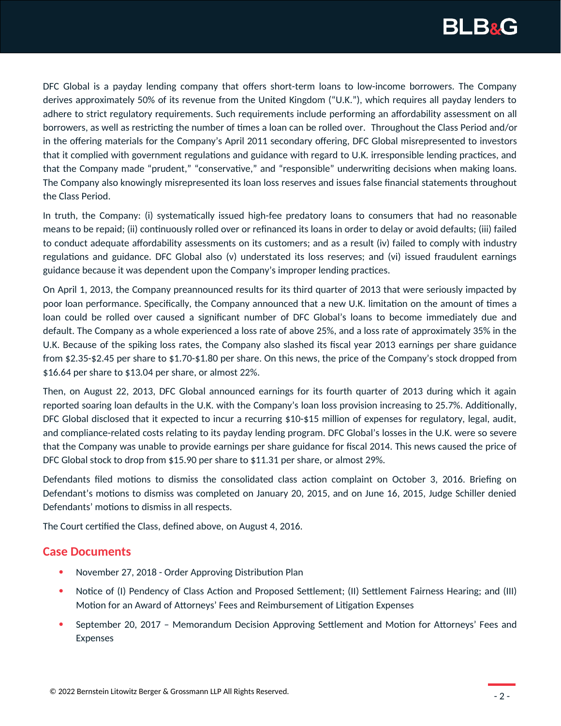

DFC Global is a payday lending company that offers short-term loans to low-income borrowers. The Company derives approximately 50% of its revenue from the United Kingdom ("U.K."), which requires all payday lenders to adhere to strict regulatory requirements. Such requirements include performing an affordability assessment on all borrowers, as well as restricting the number of times a loan can be rolled over. Throughout the Class Period and/or in the offering materials for the Company's April 2011 secondary offering, DFC Global misrepresented to investors that it complied with government regulations and guidance with regard to U.K. irresponsible lending practices, and that the Company made "prudent," "conservative," and "responsible" underwriting decisions when making loans. The Company also knowingly misrepresented its loan loss reserves and issues false financial statements throughout the Class Period.

In truth, the Company: (i) systematically issued high-fee predatory loans to consumers that had no reasonable means to be repaid; (ii) continuously rolled over or refinanced its loans in order to delay or avoid defaults; (iii) failed to conduct adequate affordability assessments on its customers; and as a result (iv) failed to comply with industry regulations and guidance. DFC Global also (v) understated its loss reserves; and (vi) issued fraudulent earnings guidance because it was dependent upon the Company's improper lending practices.

On April 1, 2013, the Company preannounced results for its third quarter of 2013 that were seriously impacted by poor loan performance. Specifically, the Company announced that a new U.K. limitation on the amount of times a loan could be rolled over caused a significant number of DFC Global's loans to become immediately due and default. The Company as a whole experienced a loss rate of above 25%, and a loss rate of approximately 35% in the U.K. Because of the spiking loss rates, the Company also slashed its fiscal year 2013 earnings per share guidance from \$2.35-\$2.45 per share to \$1.70-\$1.80 per share. On this news, the price of the Company's stock dropped from \$16.64 per share to \$13.04 per share, or almost 22%.

Then, on August 22, 2013, DFC Global announced earnings for its fourth quarter of 2013 during which it again reported soaring loan defaults in the U.K. with the Company's loan loss provision increasing to 25.7%. Additionally, DFC Global disclosed that it expected to incur a recurring \$10-\$15 million of expenses for regulatory, legal, audit, and compliance-related costs relating to its payday lending program. DFC Global's losses in the U.K. were so severe that the Company was unable to provide earnings per share guidance for fiscal 2014. This news caused the price of DFC Global stock to drop from \$15.90 per share to \$11.31 per share, or almost 29%.

Defendants filed motions to dismiss the consolidated class action complaint on October 3, 2016. Briefing on Defendant's motions to dismiss was completed on January 20, 2015, and on June 16, 2015, Judge Schiller denied Defendants' motions to dismiss in all respects.

The Court certified the Class, defined above, on August 4, 2016.

## **Case Documents**

- November 27, 2018 Order Approving Distribution Plan
- Notice of (I) Pendency of Class Action and Proposed Settlement; (II) Settlement Fairness Hearing; and (III) Motion for an Award of Attorneys' Fees and Reimbursement of Litigation Expenses
- September 20, 2017 Memorandum Decision Approving Settlement and Motion for Attorneys' Fees and Expenses